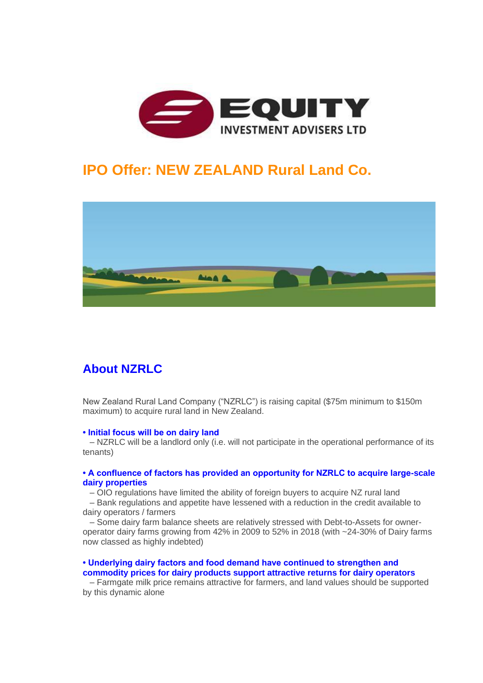

## **IPO Offer: NEW ZEALAND Rural Land Co.**



### **About NZRLC**

New Zealand Rural Land Company ("NZRLC") is raising capital (\$75m minimum to \$150m maximum) to acquire rural land in New Zealand.

#### **• Initial focus will be on dairy land**

– NZRLC will be a landlord only (i.e. will not participate in the operational performance of its tenants)

#### **• A confluence of factors has provided an opportunity for NZRLC to acquire large-scale dairy properties**

– OIO regulations have limited the ability of foreign buyers to acquire NZ rural land

– Bank regulations and appetite have lessened with a reduction in the credit available to dairy operators / farmers

– Some dairy farm balance sheets are relatively stressed with Debt-to-Assets for owneroperator dairy farms growing from 42% in 2009 to 52% in 2018 (with ~24-30% of Dairy farms now classed as highly indebted)

### **• Underlying dairy factors and food demand have continued to strengthen and commodity prices for dairy products support attractive returns for dairy operators**

– Farmgate milk price remains attractive for farmers, and land values should be supported by this dynamic alone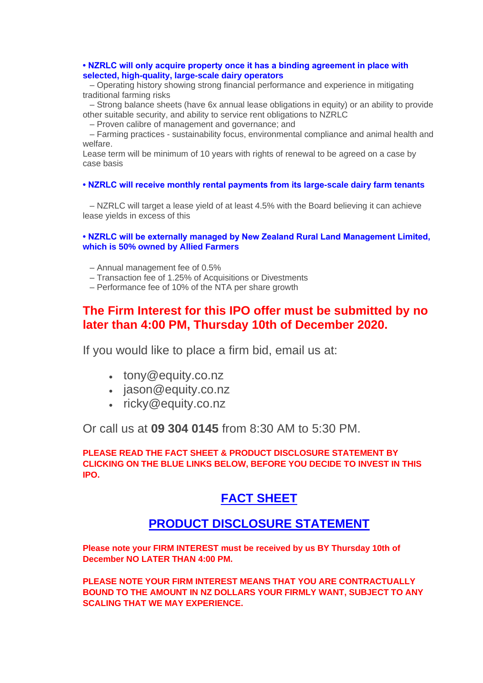### **• NZRLC will only acquire property once it has a binding agreement in place with selected, high-quality, large-scale dairy operators**

– Operating history showing strong financial performance and experience in mitigating traditional farming risks

– Strong balance sheets (have 6x annual lease obligations in equity) or an ability to provide other suitable security, and ability to service rent obligations to NZRLC

– Proven calibre of management and governance; and

– Farming practices - sustainability focus, environmental compliance and animal health and welfare.

Lease term will be minimum of 10 years with rights of renewal to be agreed on a case by case basis

**• NZRLC will receive monthly rental payments from its large-scale dairy farm tenants**

– NZRLC will target a lease yield of at least 4.5% with the Board believing it can achieve lease yields in excess of this

### **• NZRLC will be externally managed by New Zealand Rural Land Management Limited, which is 50% owned by Allied Farmers**

- Annual management fee of 0.5%
- Transaction fee of 1.25% of Acquisitions or Divestments
- Performance fee of 10% of the NTA per share growth

### **The Firm Interest for this IPO offer must be submitted by no later than 4:00 PM, Thursday 10th of December 2020.**

If you would like to place a firm bid, email us at:

- tony@equity.co.nz
- jason@equity.co.nz
- ricky@equity.co.nz

Or call us at **09 304 0145** from 8:30 AM to 5:30 PM.

**PLEASE READ THE FACT SHEET & PRODUCT DISCLOSURE STATEMENT BY CLICKING ON THE BLUE LINKS BELOW, BEFORE YOU DECIDE TO INVEST IN THIS IPO.**

### **[FACT SHEET](https://moneyonline.createsend1.com/t/r-l-juididx-l-p/)**

### **[PRODUCT D](https://moneyonline.createsend1.com/t/r-l-juididx-l-x/)[ISCLOSURE STATEMENT](https://moneyonline.createsend1.com/t/r-l-juididx-l-s/)**

**Please note your FIRM INTEREST must be received by us BY Thursday 10th of December NO LATER THAN 4:00 PM.**

**PLEASE NOTE YOUR FIRM INTEREST MEANS THAT YOU ARE CONTRACTUALLY BOUND TO THE AMOUNT IN NZ DOLLARS YOUR FIRMLY WANT, SUBJECT TO ANY SCALING THAT WE MAY EXPERIENCE.**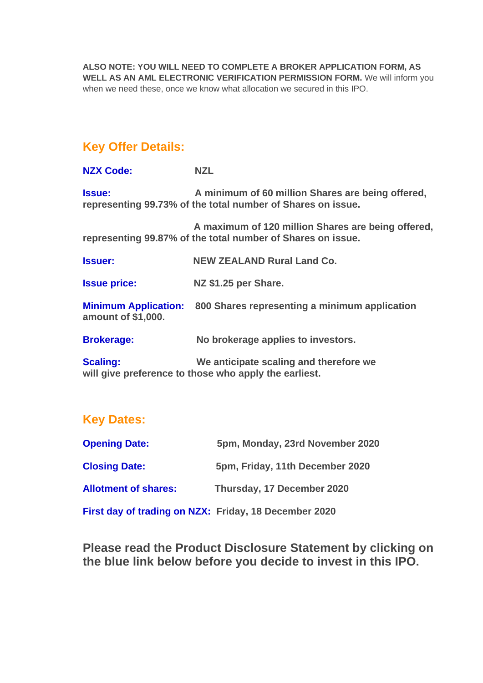**ALSO NOTE: YOU WILL NEED TO COMPLETE A BROKER APPLICATION FORM, AS WELL AS AN AML ELECTRONIC VERIFICATION PERMISSION FORM.** We will inform you when we need these, once we know what allocation we secured in this IPO.

### **Key Offer Details:**

**NZX Code: NZL**

**Issue: A minimum of 60 million Shares are being offered, representing 99.73% of the total number of Shares on issue.**

**A maximum of 120 million Shares are being offered, representing 99.87% of the total number of Shares on issue.**

**Issuer: NEW ZEALAND Rural Land Co.**

**Issue price: NZ \$1.25 per Share.**

**Minimum Application: 800 Shares representing a minimum application amount of \$1,000.**

**Brokerage: No brokerage applies to investors.**

**Scaling: We anticipate scaling and therefore we will give preference to those who apply the earliest.**

### **Key Dates:**

| <b>Opening Date:</b>                                  | 5pm, Monday, 23rd November 2020 |
|-------------------------------------------------------|---------------------------------|
| <b>Closing Date:</b>                                  | 5pm, Friday, 11th December 2020 |
| <b>Allotment of shares:</b>                           | Thursday, 17 December 2020      |
| First day of trading on NZX: Friday, 18 December 2020 |                                 |

**Please read the Product Disclosure Statement by clicking on the blue link below before you decide to invest in this IPO.**